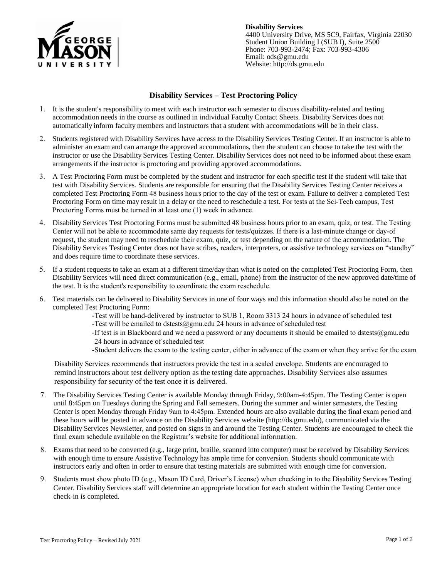

**Disability Services** 4400 University Drive, MS 5C9, Fairfax, Virginia 22030 Student Union Building I (SUB I), Suite 2500 Phone: 703-993-2474; Fax: 703-993-4306 Email: ods@gmu.edu Website: http://ds.gmu.edu

## **Disability Services – Test Proctoring Policy**

- 1. It is the student's responsibility to meet with each instructor each semester to discuss disability-related and testing accommodation needs in the course as outlined in individual Faculty Contact Sheets. Disability Services does not automatically inform faculty members and instructors that a student with accommodations will be in their class.
- 2. Students registered with Disability Services have access to the Disability Services Testing Center. If an instructor is able to administer an exam and can arrange the approved accommodations, then the student can choose to take the test with the instructor or use the Disability Services Testing Center. Disability Services does not need to be informed about these exam arrangements if the instructor is proctoring and providing approved accommodations.
- 3. A Test Proctoring Form must be completed by the student and instructor for each specific test if the student will take that test with Disability Services. Students are responsible for ensuring that the Disability Services Testing Center receives a completed Test Proctoring Form 48 business hours prior to the day of the test or exam. Failure to deliver a completed Test Proctoring Form on time may result in a delay or the need to reschedule a test. For tests at the Sci-Tech campus, Test Proctoring Forms must be turned in at least one (1) week in advance.
- 4. Disability Services Test Proctoring Forms must be submitted 48 business hours prior to an exam, quiz, or test. The Testing Center will not be able to accommodate same day requests for tests/quizzes. If there is a last-minute change or day-of request, the student may need to reschedule their exam, quiz, or test depending on the nature of the accommodation. The Disability Services Testing Center does not have scribes, readers, interpreters, or assistive technology services on "standby" and does require time to coordinate these services.
- 5. If a student requests to take an exam at a different time/day than what is noted on the completed Test Proctoring Form, then Disability Services will need direct communication (e.g., email, phone) from the instructor of the new approved date/time of the test. It is the student's responsibility to coordinate the exam reschedule.
- 6. Test materials can be delivered to Disability Services in one of four ways and this information should also be noted on the completed Test Proctoring Form:
	- -Test will be hand-delivered by instructor to SUB 1, Room 3313 24 hours in advance of scheduled test
	- -Test will be emailed to dstests@gmu.edu 24 hours in advance of scheduled test
	- -If test is in Blackboard and we need a password or any documents it should be emailed to dstests@gmu.edu 24 hours in advance of scheduled test
	- -Student delivers the exam to the testing center, either in advance of the exam or when they arrive for the exam

Disability Services recommends that instructors provide the test in a sealed envelope. Students are encouraged to remind instructors about test delivery option as the testing date approaches. Disability Services also assumes responsibility for security of the test once it is delivered.

- 7. The Disability Services Testing Center is available Monday through Friday, 9:00am-4:45pm. The Testing Center is open until 8:45pm on Tuesdays during the Spring and Fall semesters. During the summer and winter semesters, the Testing Center is open Monday through Friday 9am to 4:45pm. Extended hours are also available during the final exam period and these hours will be posted in advance on the Disability Services website (http://ds.gmu.edu), communicated via the Disability Services Newsletter, and posted on signs in and around the Testing Center. Students are encouraged to check the final exam schedule available on the Registrar's website for additional information.
- 8. Exams that need to be converted (e.g., large print, braille, scanned into computer) must be received by Disability Services with enough time to ensure Assistive Technology has ample time for conversion. Students should communicate with instructors early and often in order to ensure that testing materials are submitted with enough time for conversion.
- 9. Students must show photo ID (e.g., Mason ID Card, Driver's License) when checking in to the Disability Services Testing Center. Disability Services staff will determine an appropriate location for each student within the Testing Center once check-in is completed.